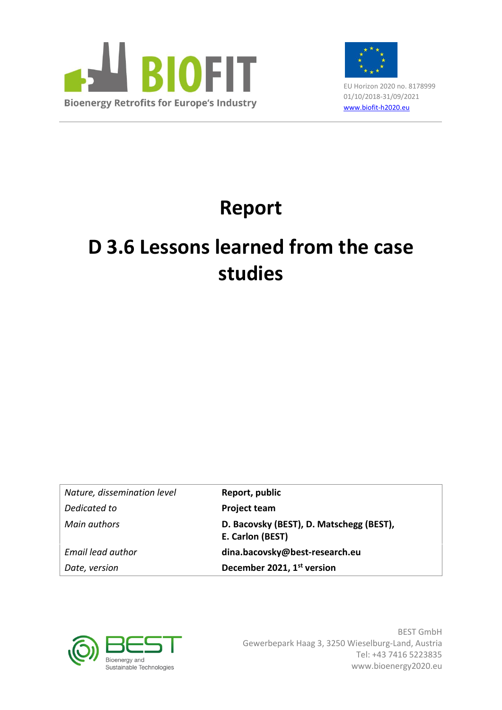



EU Horizon 2020 no. 8178999 01/10/2018-31/09/2021 [www.biofit-h2020.eu](http://www.biofit-h2020.eu/)

# **Report**

# **D 3.6 Lessons learned from the case studies**

*Nature, dissemination level* **Report, public Dedicated to Project team** 

*Main authors* **D. Bacovsky (BEST), D. Matschegg (BEST), E. Carlon (BEST)** *Email lead author* **dina.bacovsky@best-research.eu** *Date, version* **December 2021, 1 st version**



BEST GmbH Gewerbepark Haag 3, 3250 Wieselburg-Land, Austria Tel: +43 7416 5223835 www.bioenergy2020.eu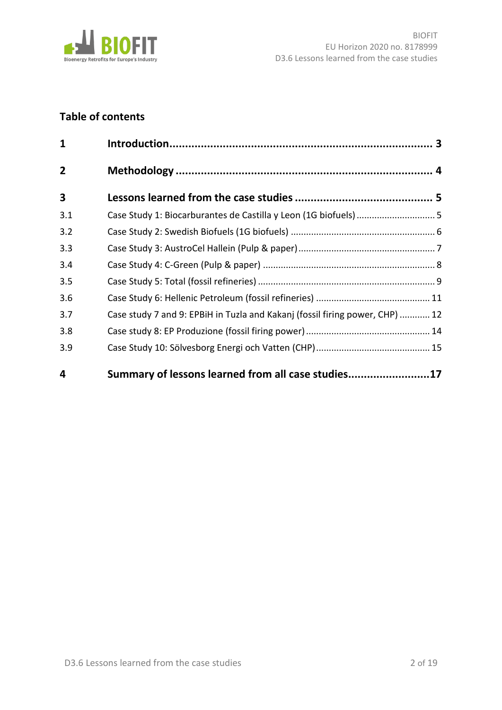

# **Table of contents**

| $\mathbf{1}$   |                                                                              |  |
|----------------|------------------------------------------------------------------------------|--|
| $\overline{2}$ |                                                                              |  |
| 3              |                                                                              |  |
| 3.1            | Case Study 1: Biocarburantes de Castilla y Leon (1G biofuels) 5              |  |
| 3.2            |                                                                              |  |
| 3.3            |                                                                              |  |
| 3.4            |                                                                              |  |
| 3.5            |                                                                              |  |
| 3.6            |                                                                              |  |
| 3.7            | Case study 7 and 9: EPBiH in Tuzla and Kakanj (fossil firing power, CHP)  12 |  |
| 3.8            |                                                                              |  |
| 3.9            |                                                                              |  |
| 4              | Summary of lessons learned from all case studies17                           |  |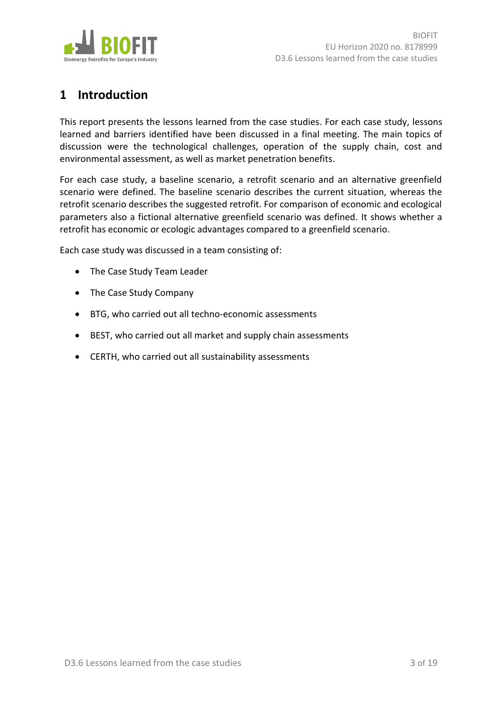

# <span id="page-2-0"></span>**1 Introduction**

This report presents the lessons learned from the case studies. For each case study, lessons learned and barriers identified have been discussed in a final meeting. The main topics of discussion were the technological challenges, operation of the supply chain, cost and environmental assessment, as well as market penetration benefits.

For each case study, a baseline scenario, a retrofit scenario and an alternative greenfield scenario were defined. The baseline scenario describes the current situation, whereas the retrofit scenario describes the suggested retrofit. For comparison of economic and ecological parameters also a fictional alternative greenfield scenario was defined. It shows whether a retrofit has economic or ecologic advantages compared to a greenfield scenario.

Each case study was discussed in a team consisting of:

- The Case Study Team Leader
- The Case Study Company
- BTG, who carried out all techno-economic assessments
- BEST, who carried out all market and supply chain assessments
- CERTH, who carried out all sustainability assessments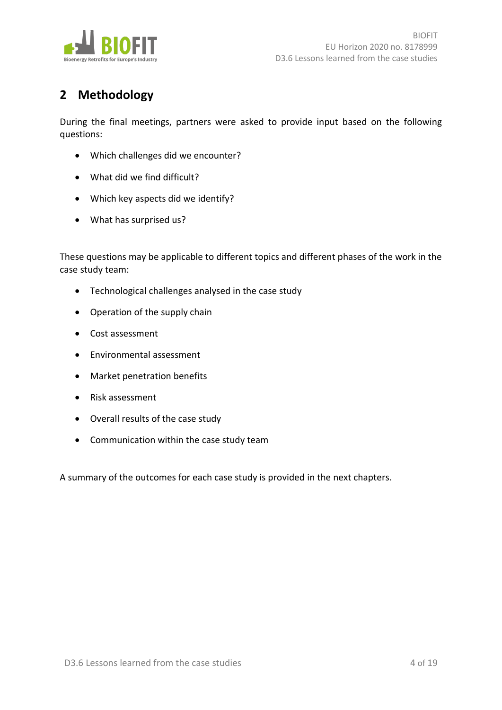

# <span id="page-3-0"></span>**2 Methodology**

During the final meetings, partners were asked to provide input based on the following questions:

- Which challenges did we encounter?
- What did we find difficult?
- Which key aspects did we identify?
- What has surprised us?

These questions may be applicable to different topics and different phases of the work in the case study team:

- Technological challenges analysed in the case study
- Operation of the supply chain
- Cost assessment
- Environmental assessment
- Market penetration benefits
- Risk assessment
- Overall results of the case study
- Communication within the case study team

A summary of the outcomes for each case study is provided in the next chapters.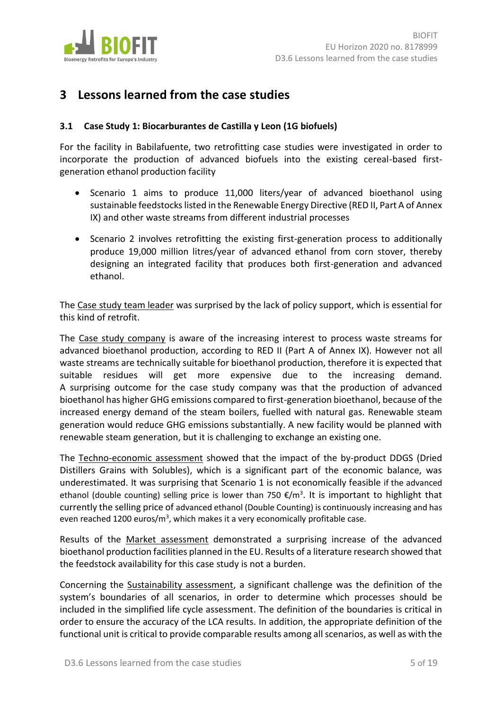

# <span id="page-4-0"></span>**3 Lessons learned from the case studies**

### <span id="page-4-1"></span>**3.1 Case Study 1: Biocarburantes de Castilla y Leon (1G biofuels)**

For the facility in Babilafuente, two retrofitting case studies were investigated in order to incorporate the production of advanced biofuels into the existing cereal-based firstgeneration ethanol production facility

- Scenario 1 aims to produce 11,000 liters/year of advanced bioethanol using sustainable feedstocks listed in the Renewable Energy Directive (RED II, Part A of Annex IX) and other waste streams from different industrial processes
- Scenario 2 involves retrofitting the existing first-generation process to additionally produce 19,000 million litres/year of advanced ethanol from corn stover, thereby designing an integrated facility that produces both first-generation and advanced ethanol.

The Case study team leader was surprised by the lack of policy support, which is essential for this kind of retrofit.

The Case study company is aware of the increasing interest to process waste streams for advanced bioethanol production, according to RED II (Part A of Annex IX). However not all waste streams are technically suitable for bioethanol production, therefore it is expected that suitable residues will get more expensive due to the increasing demand. A surprising outcome for the case study company was that the production of advanced bioethanol has higher GHG emissions compared to first-generation bioethanol, because of the increased energy demand of the steam boilers, fuelled with natural gas. Renewable steam generation would reduce GHG emissions substantially. A new facility would be planned with renewable steam generation, but it is challenging to exchange an existing one.

The Techno-economic assessment showed that the impact of the by-product DDGS (Dried Distillers Grains with Solubles), which is a significant part of the economic balance, was underestimated. It was surprising that Scenario 1 is not economically feasible if the advanced ethanol (double counting) selling price is lower than 750 €/m<sup>3</sup>. It is important to highlight that currently the selling price of advanced ethanol (Double Counting) is continuously increasing and has even reached 1200 euros/m<sup>3</sup>, which makes it a very economically profitable case.

Results of the Market assessment demonstrated a surprising increase of the advanced bioethanol production facilities planned in the EU. Results of a literature research showed that the feedstock availability for this case study is not a burden.

Concerning the Sustainability assessment, a significant challenge was the definition of the system's boundaries of all scenarios, in order to determine which processes should be included in the simplified life cycle assessment. The definition of the boundaries is critical in order to ensure the accuracy of the LCA results. In addition, the appropriate definition of the functional unit is critical to provide comparable results among all scenarios, as well as with the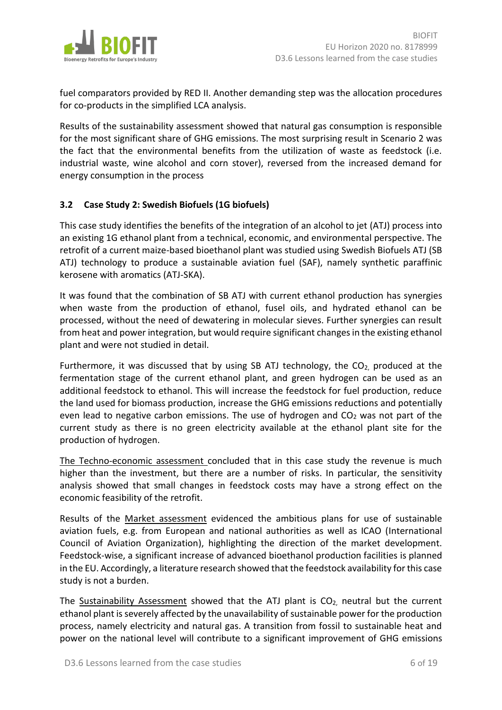

fuel comparators provided by RED II. Another demanding step was the allocation procedures for co-products in the simplified LCA analysis.

Results of the sustainability assessment showed that natural gas consumption is responsible for the most significant share of GHG emissions. The most surprising result in Scenario 2 was the fact that the environmental benefits from the utilization of waste as feedstock (i.e. industrial waste, wine alcohol and corn stover), reversed from the increased demand for energy consumption in the process

### <span id="page-5-0"></span>**3.2 Case Study 2: Swedish Biofuels (1G biofuels)**

This case study identifies the benefits of the integration of an alcohol to jet (ATJ) process into an existing 1G ethanol plant from a technical, economic, and environmental perspective. The retrofit of a current maize-based bioethanol plant was studied using Swedish Biofuels ATJ (SB ATJ) technology to produce a sustainable aviation fuel (SAF), namely synthetic paraffinic kerosene with aromatics (ATJ-SKA).

It was found that the combination of SB ATJ with current ethanol production has synergies when waste from the production of ethanol, fusel oils, and hydrated ethanol can be processed, without the need of dewatering in molecular sieves. Further synergies can result from heat and power integration, but would require significant changes in the existing ethanol plant and were not studied in detail.

Furthermore, it was discussed that by using SB ATJ technology, the CO<sub>2</sub>, produced at the fermentation stage of the current ethanol plant, and green hydrogen can be used as an additional feedstock to ethanol. This will increase the feedstock for fuel production, reduce the land used for biomass production, increase the GHG emissions reductions and potentially even lead to negative carbon emissions. The use of hydrogen and  $CO<sub>2</sub>$  was not part of the current study as there is no green electricity available at the ethanol plant site for the production of hydrogen.

The Techno-economic assessment concluded that in this case study the revenue is much higher than the investment, but there are a number of risks. In particular, the sensitivity analysis showed that small changes in feedstock costs may have a strong effect on the economic feasibility of the retrofit.

Results of the Market assessment evidenced the ambitious plans for use of sustainable aviation fuels, e.g. from European and national authorities as well as ICAO (International Council of Aviation Organization), highlighting the direction of the market development. Feedstock-wise, a significant increase of advanced bioethanol production facilities is planned in the EU. Accordingly, a literature research showed that the feedstock availability for this case study is not a burden.

The Sustainability Assessment showed that the ATJ plant is  $CO<sub>2</sub>$  neutral but the current ethanol plant is severely affected by the unavailability of sustainable power for the production process, namely electricity and natural gas. A transition from fossil to sustainable heat and power on the national level will contribute to a significant improvement of GHG emissions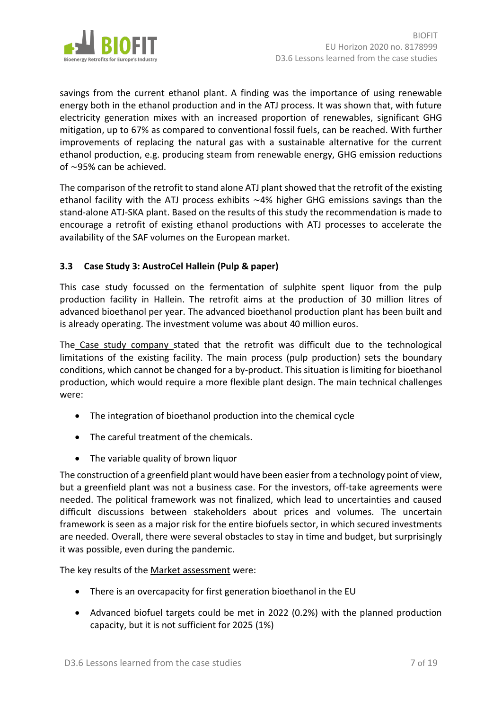

savings from the current ethanol plant. A finding was the importance of using renewable energy both in the ethanol production and in the ATJ process. It was shown that, with future electricity generation mixes with an increased proportion of renewables, significant GHG mitigation, up to 67% as compared to conventional fossil fuels, can be reached. With further improvements of replacing the natural gas with a sustainable alternative for the current ethanol production, e.g. producing steam from renewable energy, GHG emission reductions of  $\sim$ 95% can be achieved.

The comparison of the retrofit to stand alone ATJ plant showed that the retrofit of the existing ethanol facility with the ATJ process exhibits  $\sim$ 4% higher GHG emissions savings than the stand-alone ATJ-SKA plant. Based on the results of this study the recommendation is made to encourage a retrofit of existing ethanol productions with ATJ processes to accelerate the availability of the SAF volumes on the European market.

## <span id="page-6-0"></span>**3.3 Case Study 3: AustroCel Hallein (Pulp & paper)**

This case study focussed on the fermentation of sulphite spent liquor from the pulp production facility in Hallein. The retrofit aims at the production of 30 million litres of advanced bioethanol per year. The advanced bioethanol production plant has been built and is already operating. The investment volume was about 40 million euros.

The Case study company stated that the retrofit was difficult due to the technological limitations of the existing facility. The main process (pulp production) sets the boundary conditions, which cannot be changed for a by-product. This situation is limiting for bioethanol production, which would require a more flexible plant design. The main technical challenges were:

- The integration of bioethanol production into the chemical cycle
- The careful treatment of the chemicals.
- The variable quality of brown liquor

The construction of a greenfield plant would have been easier from a technology point of view, but a greenfield plant was not a business case. For the investors, off-take agreements were needed. The political framework was not finalized, which lead to uncertainties and caused difficult discussions between stakeholders about prices and volumes. The uncertain framework is seen as a major risk for the entire biofuels sector, in which secured investments are needed. Overall, there were several obstacles to stay in time and budget, but surprisingly it was possible, even during the pandemic.

The key results of the Market assessment were:

- There is an overcapacity for first generation bioethanol in the EU
- Advanced biofuel targets could be met in 2022 (0.2%) with the planned production capacity, but it is not sufficient for 2025 (1%)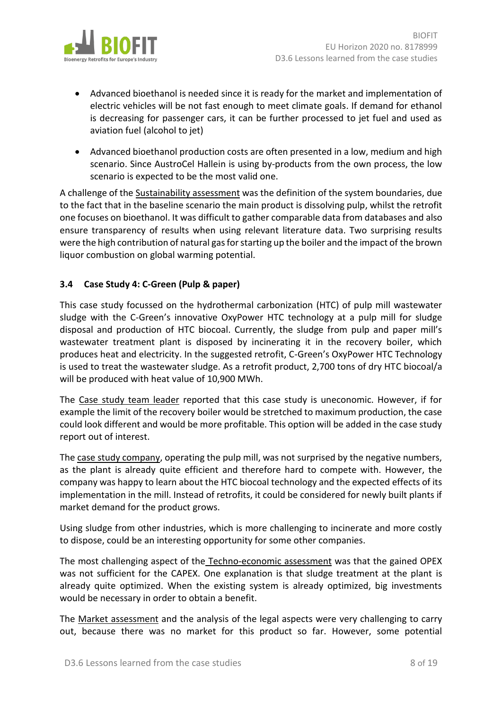

- Advanced bioethanol is needed since it is ready for the market and implementation of electric vehicles will be not fast enough to meet climate goals. If demand for ethanol is decreasing for passenger cars, it can be further processed to jet fuel and used as aviation fuel (alcohol to jet)
- Advanced bioethanol production costs are often presented in a low, medium and high scenario. Since AustroCel Hallein is using by-products from the own process, the low scenario is expected to be the most valid one.

A challenge of the Sustainability assessment was the definition of the system boundaries, due to the fact that in the baseline scenario the main product is dissolving pulp, whilst the retrofit one focuses on bioethanol. It was difficult to gather comparable data from databases and also ensure transparency of results when using relevant literature data. Two surprising results were the high contribution of natural gas for starting up the boiler and the impact of the brown liquor combustion on global warming potential.

## <span id="page-7-0"></span>**3.4 Case Study 4: C-Green (Pulp & paper)**

This case study focussed on the hydrothermal carbonization (HTC) of pulp mill wastewater sludge with the C-Green's innovative OxyPower HTC technology at a pulp mill for sludge disposal and production of HTC biocoal. Currently, the sludge from pulp and paper mill's wastewater treatment plant is disposed by incinerating it in the recovery boiler, which produces heat and electricity. In the suggested retrofit, C-Green's OxyPower HTC Technology is used to treat the wastewater sludge. As a retrofit product, 2,700 tons of dry HTC biocoal/a will be produced with heat value of 10,900 MWh.

The Case study team leader reported that this case study is uneconomic. However, if for example the limit of the recovery boiler would be stretched to maximum production, the case could look different and would be more profitable. This option will be added in the case study report out of interest.

The case study company, operating the pulp mill, was not surprised by the negative numbers, as the plant is already quite efficient and therefore hard to compete with. However, the company was happy to learn about the HTC biocoal technology and the expected effects of its implementation in the mill. Instead of retrofits, it could be considered for newly built plants if market demand for the product grows.

Using sludge from other industries, which is more challenging to incinerate and more costly to dispose, could be an interesting opportunity for some other companies.

The most challenging aspect of the Techno-economic assessment was that the gained OPEX was not sufficient for the CAPEX. One explanation is that sludge treatment at the plant is already quite optimized. When the existing system is already optimized, big investments would be necessary in order to obtain a benefit.

The Market assessment and the analysis of the legal aspects were very challenging to carry out, because there was no market for this product so far. However, some potential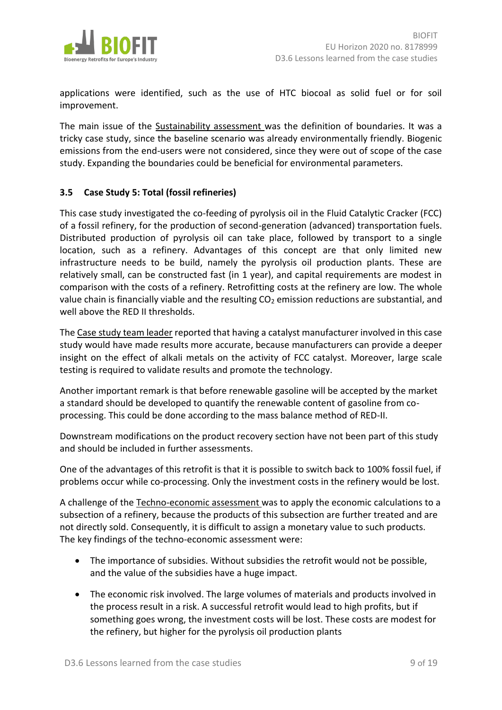

applications were identified, such as the use of HTC biocoal as solid fuel or for soil improvement.

The main issue of the Sustainability assessment was the definition of boundaries. It was a tricky case study, since the baseline scenario was already environmentally friendly. Biogenic emissions from the end-users were not considered, since they were out of scope of the case study. Expanding the boundaries could be beneficial for environmental parameters.

### <span id="page-8-0"></span>**3.5 Case Study 5: Total (fossil refineries)**

This case study investigated the co-feeding of pyrolysis oil in the Fluid Catalytic Cracker (FCC) of a fossil refinery, for the production of second-generation (advanced) transportation fuels. Distributed production of pyrolysis oil can take place, followed by transport to a single location, such as a refinery. Advantages of this concept are that only limited new infrastructure needs to be build, namely the pyrolysis oil production plants. These are relatively small, can be constructed fast (in 1 year), and capital requirements are modest in comparison with the costs of a refinery. Retrofitting costs at the refinery are low. The whole value chain is financially viable and the resulting  $CO<sub>2</sub>$  emission reductions are substantial, and well above the RED II thresholds.

The Case study team leader reported that having a catalyst manufacturer involved in this case study would have made results more accurate, because manufacturers can provide a deeper insight on the effect of alkali metals on the activity of FCC catalyst. Moreover, large scale testing is required to validate results and promote the technology.

Another important remark is that before renewable gasoline will be accepted by the market a standard should be developed to quantify the renewable content of gasoline from coprocessing. This could be done according to the mass balance method of RED-II.

Downstream modifications on the product recovery section have not been part of this study and should be included in further assessments.

One of the advantages of this retrofit is that it is possible to switch back to 100% fossil fuel, if problems occur while co-processing. Only the investment costs in the refinery would be lost.

A challenge of the Techno-economic assessment was to apply the economic calculations to a subsection of a refinery, because the products of this subsection are further treated and are not directly sold. Consequently, it is difficult to assign a monetary value to such products. The key findings of the techno-economic assessment were:

- The importance of subsidies. Without subsidies the retrofit would not be possible, and the value of the subsidies have a huge impact.
- The economic risk involved. The large volumes of materials and products involved in the process result in a risk. A successful retrofit would lead to high profits, but if something goes wrong, the investment costs will be lost. These costs are modest for the refinery, but higher for the pyrolysis oil production plants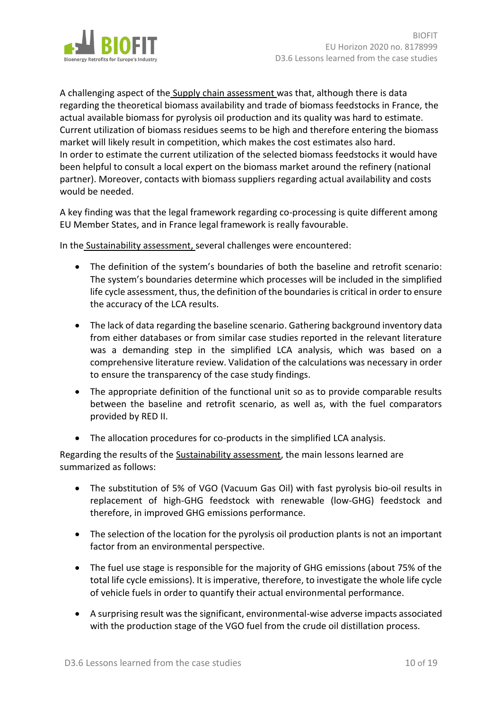

A challenging aspect of the Supply chain assessment was that, although there is data regarding the theoretical biomass availability and trade of biomass feedstocks in France, the actual available biomass for pyrolysis oil production and its quality was hard to estimate. Current utilization of biomass residues seems to be high and therefore entering the biomass market will likely result in competition, which makes the cost estimates also hard. In order to estimate the current utilization of the selected biomass feedstocks it would have been helpful to consult a local expert on the biomass market around the refinery (national partner). Moreover, contacts with biomass suppliers regarding actual availability and costs would be needed.

A key finding was that the legal framework regarding co-processing is quite different among EU Member States, and in France legal framework is really favourable.

In the Sustainability assessment, several challenges were encountered:

- The definition of the system's boundaries of both the baseline and retrofit scenario: The system's boundaries determine which processes will be included in the simplified life cycle assessment, thus, the definition of the boundaries is critical in order to ensure the accuracy of the LCA results.
- The lack of data regarding the baseline scenario. Gathering background inventory data from either databases or from similar case studies reported in the relevant literature was a demanding step in the simplified LCA analysis, which was based on a comprehensive literature review. Validation of the calculations was necessary in order to ensure the transparency of the case study findings.
- The appropriate definition of the functional unit so as to provide comparable results between the baseline and retrofit scenario, as well as, with the fuel comparators provided by RED II.
- The allocation procedures for co-products in the simplified LCA analysis.

Regarding the results of the Sustainability assessment, the main lessons learned are summarized as follows:

- The substitution of 5% of VGO (Vacuum Gas Oil) with fast pyrolysis bio-oil results in replacement of high-GHG feedstock with renewable (low-GHG) feedstock and therefore, in improved GHG emissions performance.
- The selection of the location for the pyrolysis oil production plants is not an important factor from an environmental perspective.
- The fuel use stage is responsible for the majority of GHG emissions (about 75% of the total life cycle emissions). It is imperative, therefore, to investigate the whole life cycle of vehicle fuels in order to quantify their actual environmental performance.
- A surprising result was the significant, environmental-wise adverse impacts associated with the production stage of the VGO fuel from the crude oil distillation process.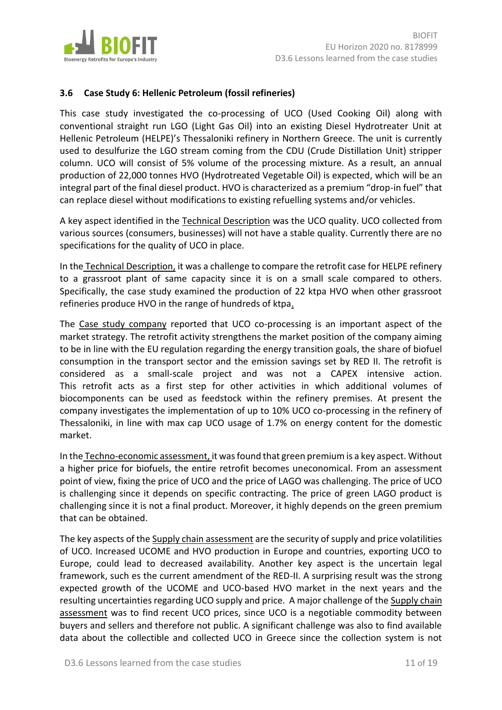

## <span id="page-10-0"></span>**3.6 Case Study 6: Hellenic Petroleum (fossil refineries)**

This case study investigated the co-processing of UCO (Used Cooking Oil) along with conventional straight run LGO (Light Gas Oil) into an existing Diesel Hydrotreater Unit at Hellenic Petroleum (HELPE)'s Thessaloniki refinery in Northern Greece. The unit is currently used to desulfurize the LGO stream coming from the CDU (Crude Distillation Unit) stripper column. UCO will consist of 5% volume of the processing mixture. As a result, an annual production of 22,000 tonnes HVO (Hydrotreated Vegetable Oil) is expected, which will be an integral part of the final diesel product. HVO is characterized as a premium "drop-in fuel" that can replace diesel without modifications to existing refuelling systems and/or vehicles.

A key aspect identified in the Technical Description was the UCO quality. UCO collected from various sources (consumers, businesses) will not have a stable quality. Currently there are no specifications for the quality of UCO in place.

In the Technical Description, it was a challenge to compare the retrofit case for HELPE refinery to a grassroot plant of same capacity since it is on a small scale compared to others. Specifically, the case study examined the production of 22 ktpa HVO when other grassroot refineries produce HVO in the range of hundreds of ktpa.

The Case study company reported that UCO co-processing is an important aspect of the market strategy. The retrofit activity strengthens the market position of the company aiming to be in line with the EU regulation regarding the energy transition goals, the share of biofuel consumption in the transport sector and the emission savings set by RED II. The retrofit is considered as a small-scale project and was not a CAPEX intensive action. This retrofit acts as a first step for other activities in which additional volumes of biocomponents can be used as feedstock within the refinery premises. At present the company investigates the implementation of up to 10% UCO co-processing in the refinery of Thessaloniki, in line with max cap UCO usage of 1.7% on energy content for the domestic market.

In the Techno-economic assessment, it was found that green premium is a key aspect. Without a higher price for biofuels, the entire retrofit becomes uneconomical. From an assessment point of view, fixing the price of UCO and the price of LAGO was challenging. The price of UCO is challenging since it depends on specific contracting. The price of green LAGO product is challenging since it is not a final product. Moreover, it highly depends on the green premium that can be obtained.

The key aspects of the Supply chain assessment are the security of supply and price volatilities of UCO. Increased UCOME and HVO production in Europe and countries, exporting UCO to Europe, could lead to decreased availability. Another key aspect is the uncertain legal framework, such es the current amendment of the RED-II. A surprising result was the strong expected growth of the UCOME and UCO-based HVO market in the next years and the resulting uncertainties regarding UCO supply and price. A major challenge of the Supply chain assessment was to find recent UCO prices, since UCO is a negotiable commodity between buyers and sellers and therefore not public. A significant challenge was also to find available data about the collectible and collected UCO in Greece since the collection system is not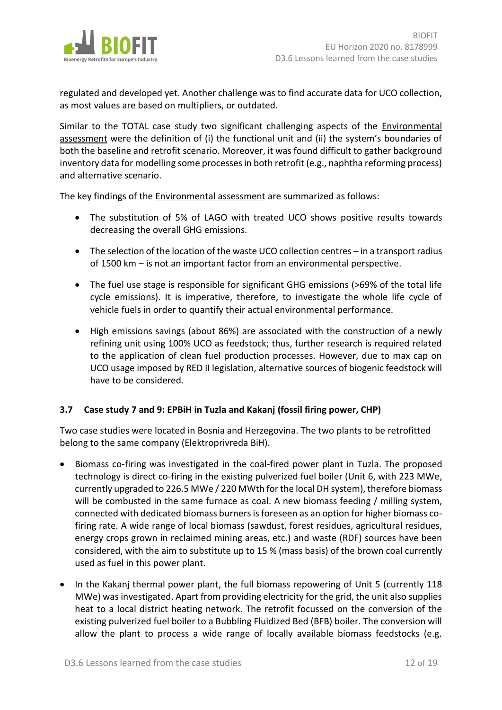

regulated and developed yet. Another challenge was to find accurate data for UCO collection, as most values are based on multipliers, or outdated.

Similar to the TOTAL case study two significant challenging aspects of the Environmental assessment were the definition of (i) the functional unit and (ii) the system's boundaries of both the baseline and retrofit scenario. Moreover, it was found difficult to gather background inventory data for modelling some processes in both retrofit (e.g., naphtha reforming process) and alternative scenario.

The key findings of the Environmental assessment are summarized as follows:

- The substitution of 5% of LAGO with treated UCO shows positive results towards decreasing the overall GHG emissions.
- The selection of the location of the waste UCO collection centres in a transport radius of 1500 km – is not an important factor from an environmental perspective.
- The fuel use stage is responsible for significant GHG emissions (>69% of the total life cycle emissions). It is imperative, therefore, to investigate the whole life cycle of vehicle fuels in order to quantify their actual environmental performance.
- High emissions savings (about 86%) are associated with the construction of a newly refining unit using 100% UCO as feedstock; thus, further research is required related to the application of clean fuel production processes. However, due to max cap on UCO usage imposed by RED II legislation, alternative sources of biogenic feedstock will have to be considered.

## <span id="page-11-0"></span>**3.7 Case study 7 and 9: EPBiH in Tuzla and Kakanj (fossil firing power, CHP)**

Two case studies were located in Bosnia and Herzegovina. The two plants to be retrofitted belong to the same company (Elektroprivreda BiH).

- Biomass co-firing was investigated in the coal-fired power plant in Tuzla. The proposed technology is direct co-firing in the existing pulverized fuel boiler (Unit 6, with 223 MWe, currently upgraded to 226.5 MWe / 220 MWth for the local DH system), therefore biomass will be combusted in the same furnace as coal. A new biomass feeding / milling system, connected with dedicated biomass burners is foreseen as an option for higher biomass cofiring rate. A wide range of local biomass (sawdust, forest residues, agricultural residues, energy crops grown in reclaimed mining areas, etc.) and waste (RDF) sources have been considered, with the aim to substitute up to 15 % (mass basis) of the brown coal currently used as fuel in this power plant.
- In the Kakanj thermal power plant, the full biomass repowering of Unit 5 (currently 118 MWe) was investigated. Apart from providing electricity for the grid, the unit also supplies heat to a local district heating network. The retrofit focussed on the conversion of the existing pulverized fuel boiler to a Bubbling Fluidized Bed (BFB) boiler. The conversion will allow the plant to process a wide range of locally available biomass feedstocks (e.g.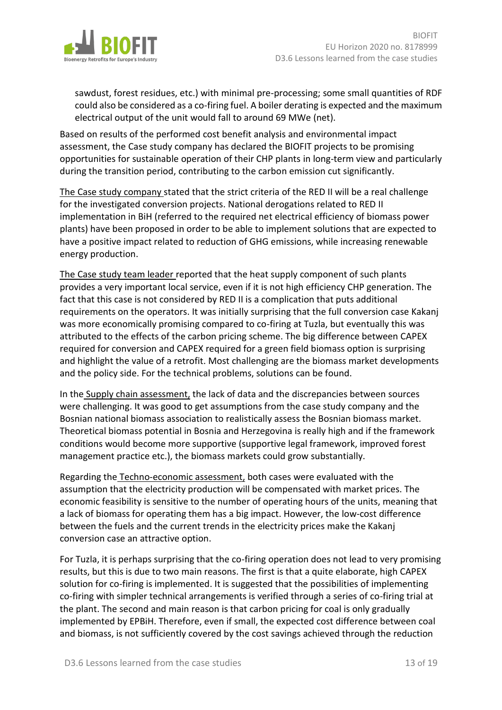

sawdust, forest residues, etc.) with minimal pre-processing; some small quantities of RDF could also be considered as a co-firing fuel. A boiler derating is expected and the maximum electrical output of the unit would fall to around 69 MWe (net).

Based on results of the performed cost benefit analysis and environmental impact assessment, the Case study company has declared the BIOFIT projects to be promising opportunities for sustainable operation of their CHP plants in long-term view and particularly during the transition period, contributing to the carbon emission cut significantly.

The Case study company stated that the strict criteria of the RED II will be a real challenge for the investigated conversion projects. National derogations related to RED II implementation in BiH (referred to the required net electrical efficiency of biomass power plants) have been proposed in order to be able to implement solutions that are expected to have a positive impact related to reduction of GHG emissions, while increasing renewable energy production.

The Case study team leader reported that the heat supply component of such plants provides a very important local service, even if it is not high efficiency CHP generation. The fact that this case is not considered by RED II is a complication that puts additional requirements on the operators. It was initially surprising that the full conversion case Kakanj was more economically promising compared to co-firing at Tuzla, but eventually this was attributed to the effects of the carbon pricing scheme. The big difference between CAPEX required for conversion and CAPEX required for a green field biomass option is surprising and highlight the value of a retrofit. Most challenging are the biomass market developments and the policy side. For the technical problems, solutions can be found.

In the Supply chain assessment, the lack of data and the discrepancies between sources were challenging. It was good to get assumptions from the case study company and the Bosnian national biomass association to realistically assess the Bosnian biomass market. Theoretical biomass potential in Bosnia and Herzegovina is really high and if the framework conditions would become more supportive (supportive legal framework, improved forest management practice etc.), the biomass markets could grow substantially.

Regarding the Techno-economic assessment, both cases were evaluated with the assumption that the electricity production will be compensated with market prices. The economic feasibility is sensitive to the number of operating hours of the units, meaning that a lack of biomass for operating them has a big impact. However, the low-cost difference between the fuels and the current trends in the electricity prices make the Kakanj conversion case an attractive option.

For Tuzla, it is perhaps surprising that the co-firing operation does not lead to very promising results, but this is due to two main reasons. The first is that a quite elaborate, high CAPEX solution for co-firing is implemented. It is suggested that the possibilities of implementing co-firing with simpler technical arrangements is verified through a series of co-firing trial at the plant. The second and main reason is that carbon pricing for coal is only gradually implemented by EPBiH. Therefore, even if small, the expected cost difference between coal and biomass, is not sufficiently covered by the cost savings achieved through the reduction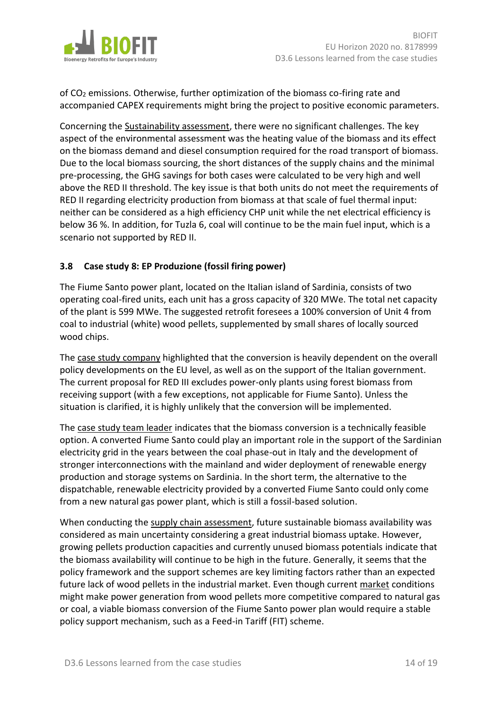

of CO<sup>2</sup> emissions. Otherwise, further optimization of the biomass co-firing rate and accompanied CAPEX requirements might bring the project to positive economic parameters.

Concerning the Sustainability assessment, there were no significant challenges. The key aspect of the environmental assessment was the heating value of the biomass and its effect on the biomass demand and diesel consumption required for the road transport of biomass. Due to the local biomass sourcing, the short distances of the supply chains and the minimal pre-processing, the GHG savings for both cases were calculated to be very high and well above the RED II threshold. The key issue is that both units do not meet the requirements of RED II regarding electricity production from biomass at that scale of fuel thermal input: neither can be considered as a high efficiency CHP unit while the net electrical efficiency is below 36 %. In addition, for Tuzla 6, coal will continue to be the main fuel input, which is a scenario not supported by RED II.

## <span id="page-13-0"></span>**3.8 Case study 8: EP Produzione (fossil firing power)**

The Fiume Santo power plant, located on the Italian island of Sardinia, consists of two operating coal-fired units, each unit has a gross capacity of 320 MWe. The total net capacity of the plant is 599 MWe. The suggested retrofit foresees a 100% conversion of Unit 4 from coal to industrial (white) wood pellets, supplemented by small shares of locally sourced wood chips.

The case study company highlighted that the conversion is heavily dependent on the overall policy developments on the EU level, as well as on the support of the Italian government. The current proposal for RED III excludes power-only plants using forest biomass from receiving support (with a few exceptions, not applicable for Fiume Santo). Unless the situation is clarified, it is highly unlikely that the conversion will be implemented.

The case study team leader indicates that the biomass conversion is a technically feasible option. A converted Fiume Santo could play an important role in the support of the Sardinian electricity grid in the years between the coal phase-out in Italy and the development of stronger interconnections with the mainland and wider deployment of renewable energy production and storage systems on Sardinia. In the short term, the alternative to the dispatchable, renewable electricity provided by a converted Fiume Santo could only come from a new natural gas power plant, which is still a fossil-based solution.

When conducting the supply chain assessment, future sustainable biomass availability was considered as main uncertainty considering a great industrial biomass uptake. However, growing pellets production capacities and currently unused biomass potentials indicate that the biomass availability will continue to be high in the future. Generally, it seems that the policy framework and the support schemes are key limiting factors rather than an expected future lack of wood pellets in the industrial market. Even though current market conditions might make power generation from wood pellets more competitive compared to natural gas or coal, a viable biomass conversion of the Fiume Santo power plan would require a stable policy support mechanism, such as a Feed-in Tariff (FIT) scheme.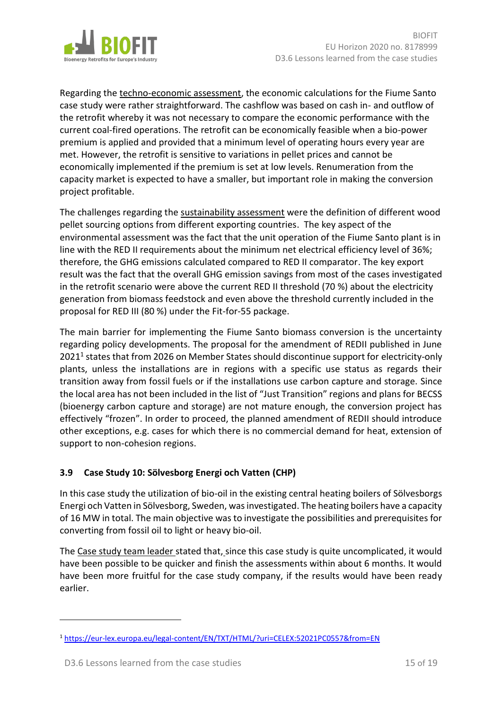

Regarding the techno-economic assessment, the economic calculations for the Fiume Santo case study were rather straightforward. The cashflow was based on cash in- and outflow of the retrofit whereby it was not necessary to compare the economic performance with the current coal-fired operations. The retrofit can be economically feasible when a bio-power premium is applied and provided that a minimum level of operating hours every year are met. However, the retrofit is sensitive to variations in pellet prices and cannot be economically implemented if the premium is set at low levels. Renumeration from the capacity market is expected to have a smaller, but important role in making the conversion project profitable.

The challenges regarding the sustainability assessment were the definition of different wood pellet sourcing options from different exporting countries. The key aspect of the environmental assessment was the fact that the unit operation of the Fiume Santo plant is in line with the RED II requirements about the minimum net electrical efficiency level of 36%; therefore, the GHG emissions calculated compared to RED II comparator. The key export result was the fact that the overall GHG emission savings from most of the cases investigated in the retrofit scenario were above the current RED II threshold (70 %) about the electricity generation from biomass feedstock and even above the threshold currently included in the proposal for RED III (80 %) under the Fit-for-55 package.

The main barrier for implementing the Fiume Santo biomass conversion is the uncertainty regarding policy developments. The proposal for the amendment of REDII published in June 2021<sup>1</sup> states that from 2026 on Member States should discontinue support for electricity-only plants, unless the installations are in regions with a specific use status as regards their transition away from fossil fuels or if the installations use carbon capture and storage. Since the local area has not been included in the list of "Just Transition" regions and plans for BECSS (bioenergy carbon capture and storage) are not mature enough, the conversion project has effectively "frozen". In order to proceed, the planned amendment of REDII should introduce other exceptions, e.g. cases for which there is no commercial demand for heat, extension of support to non-cohesion regions.

# <span id="page-14-0"></span>**3.9 Case Study 10: Sölvesborg Energi och Vatten (CHP)**

In this case study the utilization of bio-oil in the existing central heating boilers of Sölvesborgs Energi och Vatten in Sölvesborg, Sweden, wasinvestigated. The heating boilers have a capacity of 16 MW in total. The main objective was to investigate the possibilities and prerequisites for converting from fossil oil to light or heavy bio-oil.

The Case study team leader stated that, since this case study is quite uncomplicated, it would have been possible to be quicker and finish the assessments within about 6 months. It would have been more fruitful for the case study company, if the results would have been ready earlier.

 $\overline{a}$ 

<sup>1</sup> <https://eur-lex.europa.eu/legal-content/EN/TXT/HTML/?uri=CELEX:52021PC0557&from=EN>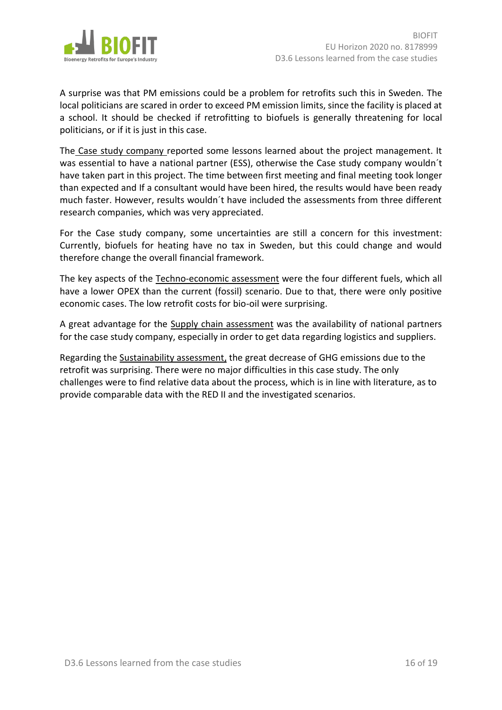

A surprise was that PM emissions could be a problem for retrofits such this in Sweden. The local politicians are scared in order to exceed PM emission limits, since the facility is placed at a school. It should be checked if retrofitting to biofuels is generally threatening for local politicians, or if it is just in this case.

The Case study company reported some lessons learned about the project management. It was essential to have a national partner (ESS), otherwise the Case study company wouldn´t have taken part in this project. The time between first meeting and final meeting took longer than expected and If a consultant would have been hired, the results would have been ready much faster. However, results wouldn´t have included the assessments from three different research companies, which was very appreciated.

For the Case study company, some uncertainties are still a concern for this investment: Currently, biofuels for heating have no tax in Sweden, but this could change and would therefore change the overall financial framework.

The key aspects of the Techno-economic assessment were the four different fuels, which all have a lower OPEX than the current (fossil) scenario. Due to that, there were only positive economic cases. The low retrofit costs for bio-oil were surprising.

A great advantage for the Supply chain assessment was the availability of national partners for the case study company, especially in order to get data regarding logistics and suppliers.

Regarding the Sustainability assessment, the great decrease of GHG emissions due to the retrofit was surprising. There were no major difficulties in this case study. The only challenges were to find relative data about the process, which is in line with literature, as to provide comparable data with the RED II and the investigated scenarios.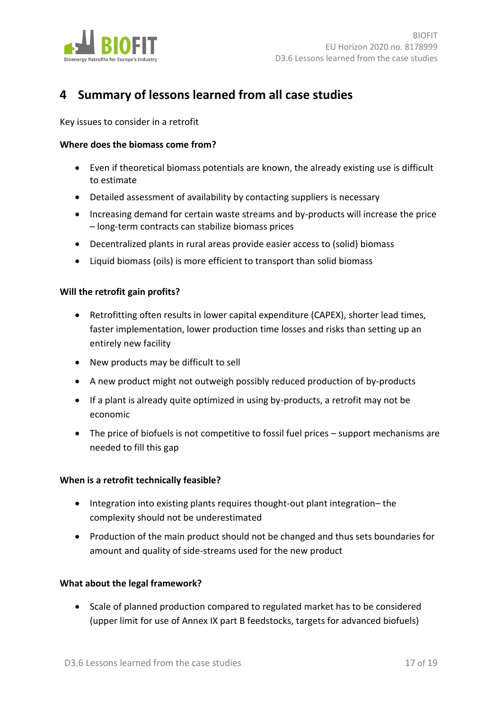

# <span id="page-16-0"></span>**4 Summary of lessons learned from all case studies**

Key issues to consider in a retrofit

#### **Where does the biomass come from?**

- Even if theoretical biomass potentials are known, the already existing use is difficult to estimate
- Detailed assessment of availability by contacting suppliers is necessary
- Increasing demand for certain waste streams and by-products will increase the price – long-term contracts can stabilize biomass prices
- Decentralized plants in rural areas provide easier access to (solid) biomass
- Liquid biomass (oils) is more efficient to transport than solid biomass

#### **Will the retrofit gain profits?**

- Retrofitting often results in lower capital expenditure (CAPEX), shorter lead times, faster implementation, lower production time losses and risks than setting up an entirely new facility
- New products may be difficult to sell
- A new product might not outweigh possibly reduced production of by-products
- If a plant is already quite optimized in using by-products, a retrofit may not be economic
- The price of biofuels is not competitive to fossil fuel prices support mechanisms are needed to fill this gap

#### **When is a retrofit technically feasible?**

- Integration into existing plants requires thought-out plant integration– the complexity should not be underestimated
- Production of the main product should not be changed and thus sets boundaries for amount and quality of side-streams used for the new product

#### **What about the legal framework?**

• Scale of planned production compared to regulated market has to be considered (upper limit for use of Annex IX part B feedstocks, targets for advanced biofuels)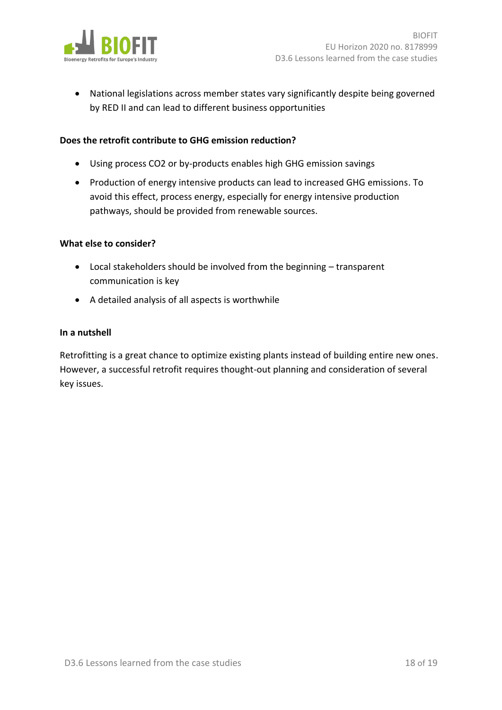

• National legislations across member states vary significantly despite being governed by RED II and can lead to different business opportunities

#### **Does the retrofit contribute to GHG emission reduction?**

- Using process CO2 or by-products enables high GHG emission savings
- Production of energy intensive products can lead to increased GHG emissions. To avoid this effect, process energy, especially for energy intensive production pathways, should be provided from renewable sources.

#### **What else to consider?**

- Local stakeholders should be involved from the beginning transparent communication is key
- A detailed analysis of all aspects is worthwhile

#### **In a nutshell**

Retrofitting is a great chance to optimize existing plants instead of building entire new ones. However, a successful retrofit requires thought-out planning and consideration of several key issues.